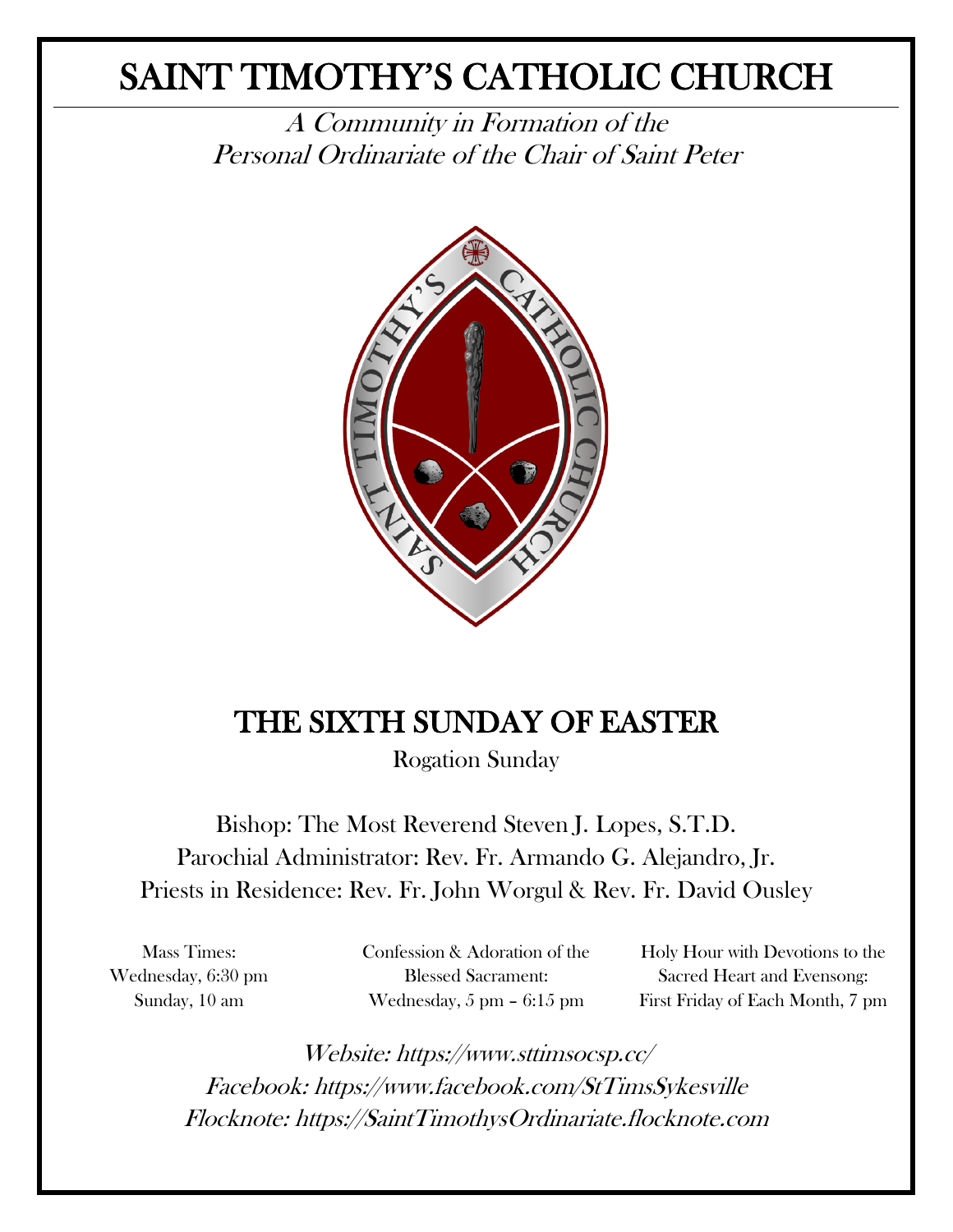# SAINT TIMOTHY'S CATHOLIC CHURCH

A Community in Formation of the Personal Ordinariate of the Chair of Saint Peter



## THE SIXTH SUNDAY OF EASTER

Rogation Sunday

Bishop: The Most Reverend Steven J. Lopes, S.T.D. Parochial Administrator: Rev. Fr. Armando G. Alejandro, Jr. Priests in Residence: Rev. Fr. John Worgul & Rev. Fr. David Ousley

Mass Times: Wednesday, 6:30 pm Sunday, 10 am

Confession & Adoration of the Blessed Sacrament: Wednesday, 5 pm – 6:15 pm

Holy Hour with Devotions to the Sacred Heart and Evensong: First Friday of Each Month, 7 pm

Website: https://www.sttimsocsp.cc/ Facebook: https://www.facebook.com/StTimsSykesville Flocknote: https://SaintTimothysOrdinariate.flocknote.com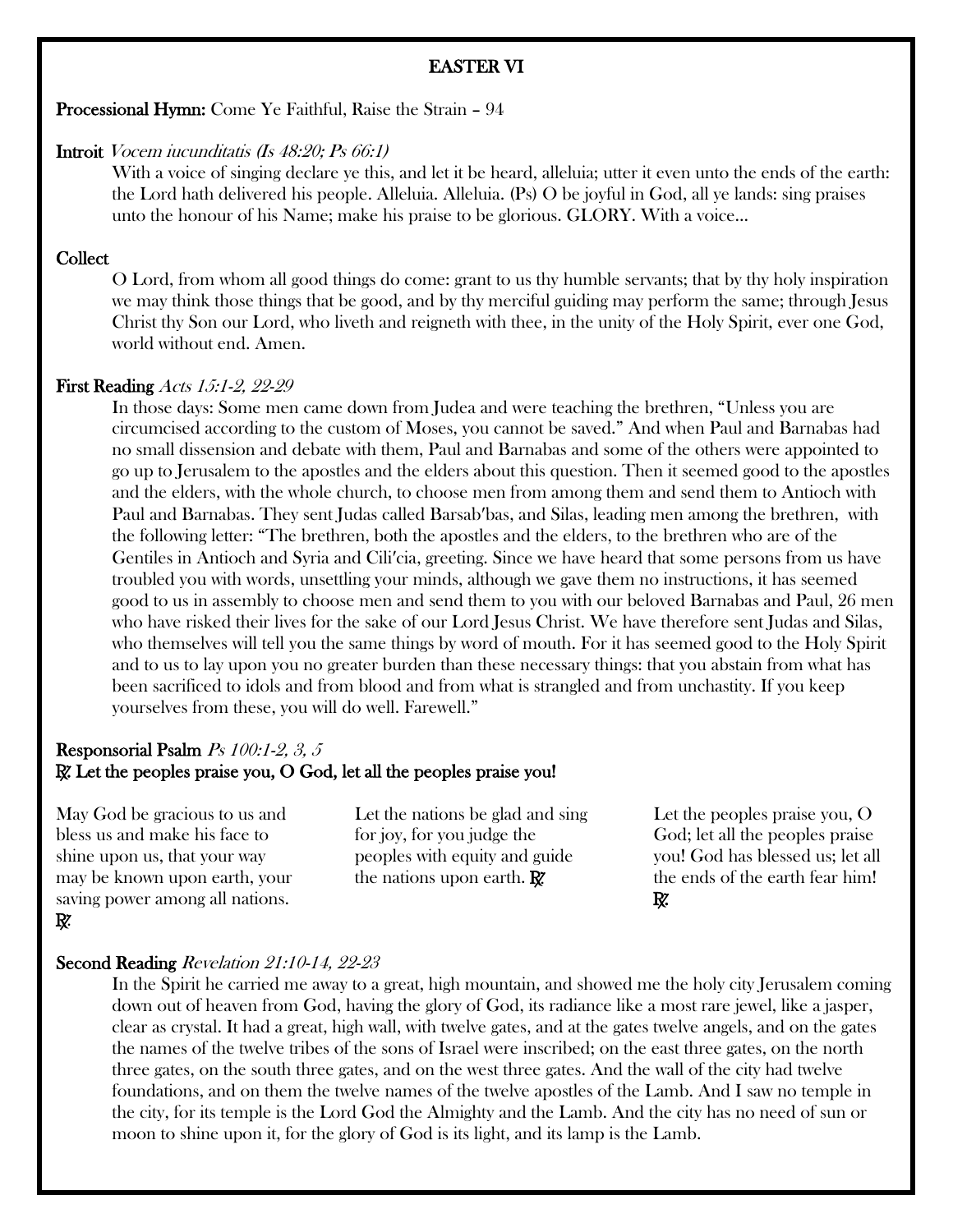#### EASTER VI

Processional Hymn: Come Ye Faithful, Raise the Strain – 94

#### Introit Vocem iucunditatis (Is 48:20; Ps 66:1)

With a voice of singing declare ye this, and let it be heard, alleluia; utter it even unto the ends of the earth: the Lord hath delivered his people. Alleluia. Alleluia. (Ps) O be joyful in God, all ye lands: sing praises unto the honour of his Name; make his praise to be glorious. GLORY. With a voice...

#### **Collect**

O Lord, from whom all good things do come: grant to us thy humble servants; that by thy holy inspiration we may think those things that be good, and by thy merciful guiding may perform the same; through Jesus Christ thy Son our Lord, who liveth and reigneth with thee, in the unity of the Holy Spirit, ever one God, world without end. Amen.

#### First Reading Acts 15:1-2, 22-29

In those days: Some men came down from Judea and were teaching the brethren, "Unless you are circumcised according to the custom of Moses, you cannot be saved." And when Paul and Barnabas had no small dissension and debate with them, Paul and Barnabas and some of the others were appointed to go up to Jerusalem to the apostles and the elders about this question. Then it seemed good to the apostles and the elders, with the whole church, to choose men from among them and send them to Antioch with Paul and Barnabas. They sent Judas called Barsab′bas, and Silas, leading men among the brethren, with the following letter: "The brethren, both the apostles and the elders, to the brethren who are of the Gentiles in Antioch and Syria and Cili′cia, greeting. Since we have heard that some persons from us have troubled you with words, unsettling your minds, although we gave them no instructions, it has seemed good to us in assembly to choose men and send them to you with our beloved Barnabas and Paul, 26 men who have risked their lives for the sake of our Lord Jesus Christ. We have therefore sent Judas and Silas, who themselves will tell you the same things by word of mouth. For it has seemed good to the Holy Spirit and to us to lay upon you no greater burden than these necessary things: that you abstain from what has been sacrificed to idols and from blood and from what is strangled and from unchastity. If you keep yourselves from these, you will do well. Farewell."

## Responsorial Psalm Ps 100:1-2, 3, 5 R. Let the peoples praise you, O God, let all the peoples praise you!

May God be gracious to us and bless us and make his face to shine upon us, that your way may be known upon earth, your saving power among all nations. R.

Let the nations be glad and sing for joy, for you judge the peoples with equity and guide the nations upon earth.  $\mathbb{R}^n$ 

Let the peoples praise you, O God; let all the peoples praise you! God has blessed us; let all the ends of the earth fear him! R.

#### Second Reading Revelation 21:10-14, 22-23

In the Spirit he carried me away to a great, high mountain, and showed me the holy city Jerusalem coming down out of heaven from God, having the glory of God, its radiance like a most rare jewel, like a jasper, clear as crystal. It had a great, high wall, with twelve gates, and at the gates twelve angels, and on the gates the names of the twelve tribes of the sons of Israel were inscribed; on the east three gates, on the north three gates, on the south three gates, and on the west three gates. And the wall of the city had twelve foundations, and on them the twelve names of the twelve apostles of the Lamb. And I saw no temple in the city, for its temple is the Lord God the Almighty and the Lamb. And the city has no need of sun or moon to shine upon it, for the glory of God is its light, and its lamp is the Lamb.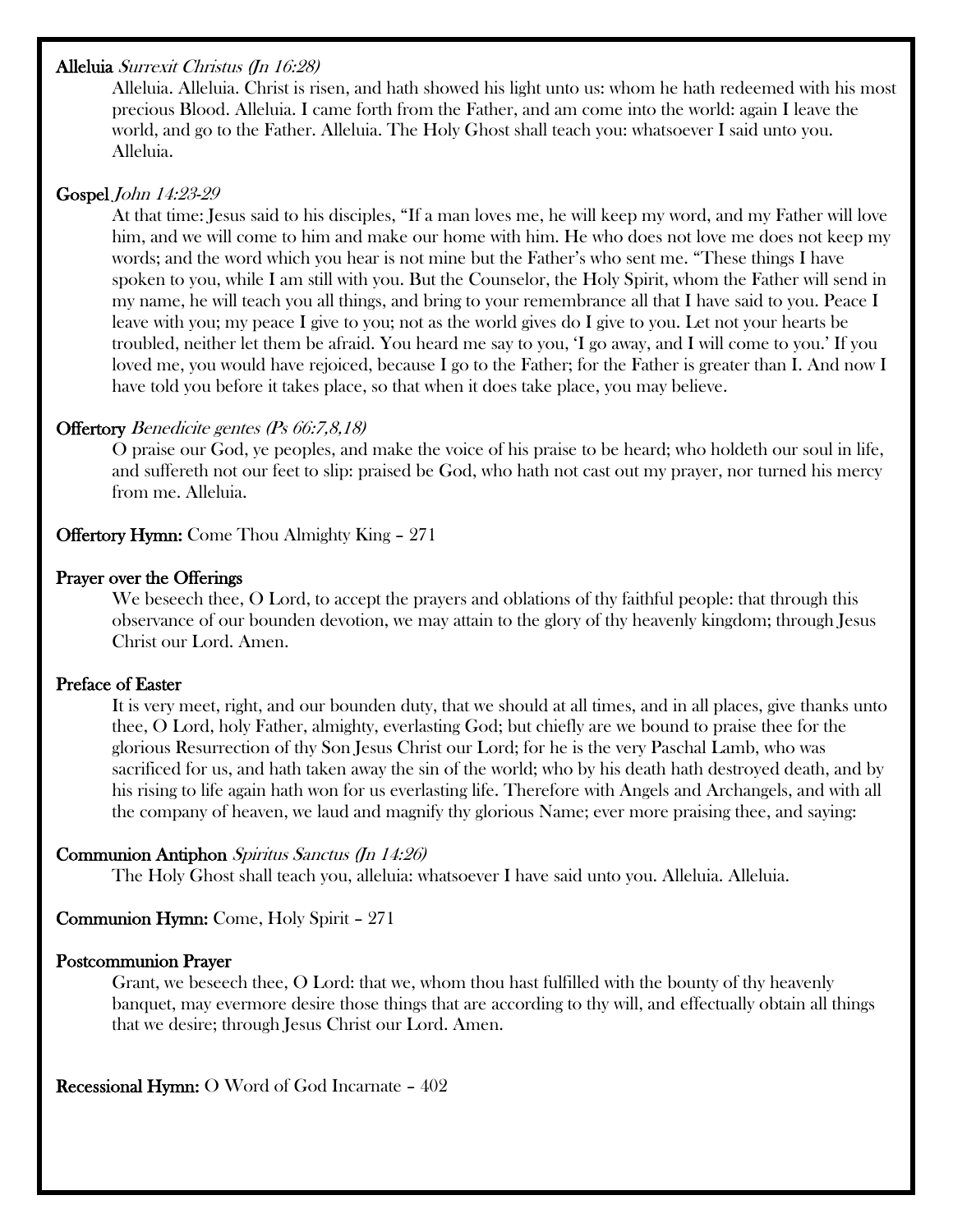## Alleluia Surrexit Christus (Jn 16:28)

Alleluia. Alleluia. Christ is risen, and hath showed his light unto us: whom he hath redeemed with his most precious Blood. Alleluia. I came forth from the Father, and am come into the world: again I leave the world, and go to the Father. Alleluia. The Holy Ghost shall teach you: whatsoever I said unto you. Alleluia.

## Gospel John 14:23-29

At that time: Jesus said to his disciples, "If a man loves me, he will keep my word, and my Father will love him, and we will come to him and make our home with him. He who does not love me does not keep my words; and the word which you hear is not mine but the Father's who sent me. "These things I have spoken to you, while I am still with you. But the Counselor, the Holy Spirit, whom the Father will send in my name, he will teach you all things, and bring to your remembrance all that I have said to you. Peace I leave with you; my peace I give to you; not as the world gives do I give to you. Let not your hearts be troubled, neither let them be afraid. You heard me say to you, 'I go away, and I will come to you.' If you loved me, you would have rejoiced, because I go to the Father; for the Father is greater than I. And now I have told you before it takes place, so that when it does take place, you may believe.

## Offertory Benedicite gentes (Ps 66:7,8,18)

O praise our God, ye peoples, and make the voice of his praise to be heard; who holdeth our soul in life, and suffereth not our feet to slip: praised be God, who hath not cast out my prayer, nor turned his mercy from me. Alleluia.

Offertory Hymn: Come Thou Almighty King – 271

## Prayer over the Offerings

We beseech thee, O Lord, to accept the prayers and oblations of thy faithful people: that through this observance of our bounden devotion, we may attain to the glory of thy heavenly kingdom; through Jesus Christ our Lord. Amen.

## Preface of Easter

It is very meet, right, and our bounden duty, that we should at all times, and in all places, give thanks unto thee, O Lord, holy Father, almighty, everlasting God; but chiefly are we bound to praise thee for the glorious Resurrection of thy Son Jesus Christ our Lord; for he is the very Paschal Lamb, who was sacrificed for us, and hath taken away the sin of the world; who by his death hath destroyed death, and by his rising to life again hath won for us everlasting life. Therefore with Angels and Archangels, and with all the company of heaven, we laud and magnify thy glorious Name; ever more praising thee, and saying:

#### Communion Antiphon Spiritus Sanctus (Jn 14:26)

The Holy Ghost shall teach you, alleluia: whatsoever I have said unto you. Alleluia. Alleluia.

## Communion Hymn: Come, Holy Spirit – 271

#### Postcommunion Prayer

Grant, we beseech thee, O Lord: that we, whom thou hast fulfilled with the bounty of thy heavenly banquet, may evermore desire those things that are according to thy will, and effectually obtain all things that we desire; through Jesus Christ our Lord. Amen.

Recessional Hymn: O Word of God Incarnate – 402